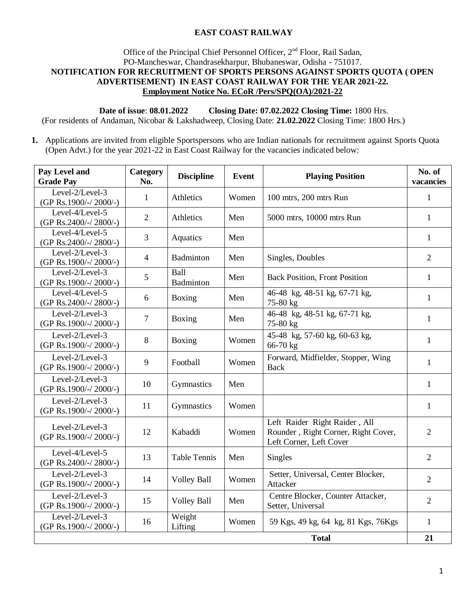## **EAST COAST RAILWAY**

### Office of the Principal Chief Personnel Officer, 2<sup>nd</sup> Floor, Rail Sadan, PO-Mancheswar, Chandrasekharpur, Bhubaneswar, Odisha - 751017. **NOTIFICATION FOR RECRUITMENT OF SPORTS PERSONS AGAINST SPORTS QUOTA ( OPEN ADVERTISEMENT) IN EAST COAST RAILWAY FOR THE YEAR 2021-22. Employment Notice No. ECoR /Pers/SPQ(OA)/2021-22**

**Date of issue**: **08.01.2022 Closing Date: 07.02.2022 Closing Time:** 1800 Hrs.

(For residents of Andaman, Nicobar & Lakshadweep, Closing Date: **21.02.2022** Closing Time: 1800 Hrs.)

**1.** Applications are invited from eligible Sportspersons who are Indian nationals for recruitment against Sports Quota (Open Advt.) for the year 2021-22 in East Coast Railway for the vacancies indicated below:

| Pay Level and<br><b>Grade Pay</b>               | Category<br>No. | <b>Discipline</b>   | <b>Event</b> | <b>Playing Position</b>                                                                         | No. of<br>vacancies |
|-------------------------------------------------|-----------------|---------------------|--------------|-------------------------------------------------------------------------------------------------|---------------------|
| Level-2/Level-3<br>(GP Rs.1900/-/2000/-)        | $\mathbf{1}$    | Athletics           | Women        | 100 mtrs, 200 mtrs Run                                                                          | 1                   |
| Level-4/Level-5<br>(GP Rs.2400/-/ 2800/-)       | $\overline{2}$  | Athletics           | Men          | 5000 mtrs, 10000 mtrs Run                                                                       | $\mathbf{1}$        |
| Level-4/Level-5<br>(GP Rs.2400/-/2800/-)        | 3               | Aquatics            | Men          |                                                                                                 | 1                   |
| Level-2/Level-3<br>(GP Rs.1900/-/2000/-)        | $\overline{4}$  | Badminton           | Men          | Singles, Doubles                                                                                | $\overline{2}$      |
| Level- $2$ /Level- $3$<br>(GP Rs.1900/-/2000/-) | 5               | Ball<br>Badminton   | Men          | <b>Back Position, Front Position</b>                                                            | 1                   |
| Level-4/Level-5<br>(GP Rs.2400/-/ 2800/-)       | 6               | Boxing              | Men          | 46-48 kg, 48-51 kg, 67-71 kg,<br>75-80 kg                                                       | 1                   |
| Level-2/Level-3<br>(GP Rs.1900/-/2000/-)        | 7               | Boxing              | Men          | 46-48 kg, 48-51 kg, 67-71 kg,<br>75-80 kg                                                       | 1                   |
| Level-2/Level-3<br>(GP Rs.1900/-/2000/-)        | 8               | Boxing              | Women        | 45-48 kg, 57-60 kg, 60-63 kg,<br>66-70 kg                                                       | 1                   |
| Level-2/Level-3<br>(GP Rs.1900/-/2000/-)        | 9               | Football            | Women        | Forward, Midfielder, Stopper, Wing<br><b>Back</b>                                               | 1                   |
| Level-2/Level-3<br>(GP Rs.1900/-/2000/-)        | 10              | Gymnastics          | Men          |                                                                                                 | $\mathbf{1}$        |
| Level-2/Level-3<br>(GP Rs.1900/-/2000/-)        | 11              | Gymnastics          | Women        |                                                                                                 | $\mathbf{1}$        |
| Level-2/Level-3<br>(GP Rs.1900/-/2000/-)        | 12              | Kabaddi             | Women        | Left Raider Right Raider, All<br>Rounder, Right Corner, Right Cover,<br>Left Corner, Left Cover | $\overline{2}$      |
| Level-4/Level-5<br>(GP Rs.2400/-/2800/-)        | 13              | <b>Table Tennis</b> | Men          | <b>Singles</b>                                                                                  | $\overline{2}$      |
| Level-2/Level-3<br>(GP Rs.1900/-/2000/-)        | 14              | <b>Volley Ball</b>  | Women        | Setter, Universal, Center Blocker,<br>Attacker                                                  | $\overline{2}$      |
| Level-2/Level-3<br>(GP Rs.1900/-/2000/-)        | 15              | <b>Volley Ball</b>  | Men          | Centre Blocker, Counter Attacker,<br>Setter, Universal                                          | $\overline{2}$      |
| Level-2/Level-3<br>(GP Rs.1900/-/2000/-)        | 16              | Weight<br>Lifting   | Women        | 59 Kgs, 49 kg, 64 kg, 81 Kgs, 76 Kgs                                                            | 1                   |
| 21<br><b>Total</b>                              |                 |                     |              |                                                                                                 |                     |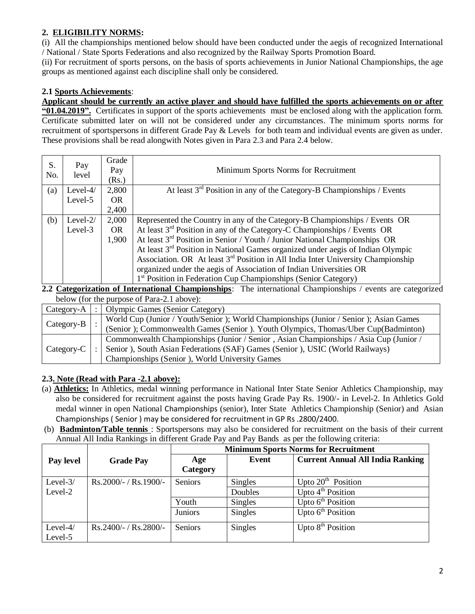# **2. ELIGIBILITY NORMS:**

(i) All the championships mentioned below should have been conducted under the aegis of recognized International / National / State Sports Federations and also recognized by the Railway Sports Promotion Board.

(ii) For recruitment of sports persons, on the basis of sports achievements in Junior National Championships, the age groups as mentioned against each discipline shall only be considered.

## **2.1 Sports Achievements**:

**Applicant should be currently an active player and should have fulfilled the sports achievements on or after "01.04.2019".** Certificates in support of the sports achievements must be enclosed along with the application form. Certificate submitted later on will not be considered under any circumstances. The minimum sports norms for recruitment of sportspersons in different Grade Pay & Levels for both team and individual events are given as under. These provisions shall be read alongwith Notes given in Para 2.3 and Para 2.4 below.

| S.<br>No. | Pay<br>level | Grade<br>Pay<br>(Rs.) | Minimum Sports Norms for Recruitment                                                         |
|-----------|--------------|-----------------------|----------------------------------------------------------------------------------------------|
| (a)       | Level- $4/$  | 2,800                 | At least $3rd$ Position in any of the Category-B Championships / Events                      |
|           | Level-5      | OR.                   |                                                                                              |
|           |              | 2,400                 |                                                                                              |
| (b)       | Level-2/     | 2,000                 | Represented the Country in any of the Category-B Championships / Events OR                   |
|           | Level-3      | OR.                   | At least $3rd$ Position in any of the Category-C Championships / Events OR                   |
|           |              | 1,900                 | At least 3 <sup>rd</sup> Position in Senior / Youth / Junior National Championships OR       |
|           |              |                       | At least $3rd$ Position in National Games organized under aegis of Indian Olympic            |
|           |              |                       | Association. OR At least 3 <sup>rd</sup> Position in All India Inter University Championship |
|           |              |                       | organized under the aegis of Association of Indian Universities OR                           |
|           |              |                       | 1 <sup>st</sup> Position in Federation Cup Championships (Senior Category)                   |

**2.2 Categorization of International Championships**: The international Championships / events are categorized below (for the purpose of Para-2.1 above):

|              | $0.000$ we then the purpose of Future. The upon $\mathcal{C}_l$ . |                                                                                         |  |  |  |
|--------------|-------------------------------------------------------------------|-----------------------------------------------------------------------------------------|--|--|--|
| Category-A   | $\therefore$                                                      | Olympic Games (Senior Category)                                                         |  |  |  |
|              |                                                                   | World Cup (Junior / Youth/Senior ); World Championships (Junior / Senior ); Asian Games |  |  |  |
| Category-B   |                                                                   | (Senior); Commonwealth Games (Senior). Youth Olympics, Thomas/Uber Cup(Badminton)       |  |  |  |
|              |                                                                   | Commonwealth Championships (Junior / Senior, Asian Championships / Asia Cup (Junior /   |  |  |  |
| $Category-C$ |                                                                   | Senior), South Asian Federations (SAF) Games (Senior), USIC (World Railways)            |  |  |  |
|              |                                                                   | Championships (Senior), World University Games                                          |  |  |  |

# **2.3. Note (Read with Para -2.1 above):**

- (a) **Athletics:** In Athletics, medal winning performance in National Inter State Senior Athletics Championship, may also be considered for recruitment against the posts having Grade Pay Rs. 1900/- in Level-2. In Athletics Gold medal winner in open National Championships (senior), Inter State Athletics Championship (Senior) and Asian Championships ( Senior ) may be considered for recruitment in GP Rs .2800/2400.
- (b) **Badminton/Table tennis** : Sportspersons may also be considered for recruitment on the basis of their current Annual All India Rankings in different Grade Pay and Pay Bands as per the following criteria:

|             |                         | <b>Minimum Sports Norms for Recruitment</b> |                |                                         |
|-------------|-------------------------|---------------------------------------------|----------------|-----------------------------------------|
| Pay level   | <b>Grade Pay</b>        | Age<br>Category                             | Event          | <b>Current Annual All India Ranking</b> |
| Level- $3/$ | $Rs.2000/- / Rs.1900/-$ | <b>Seniors</b>                              | Singles        | Upto $20th$ Position                    |
| Level-2     |                         |                                             | Doubles        | Upto $4th$ Position                     |
|             |                         | Youth                                       | <b>Singles</b> | Upto $6th$ Position                     |
|             |                         | <b>Juniors</b>                              | Singles        | Upto $6th$ Position                     |
| Level-4/    | $Rs.2400/- / Rs.2800/-$ | Seniors                                     | Singles        | Upto $8th$ Position                     |
| Level-5     |                         |                                             |                |                                         |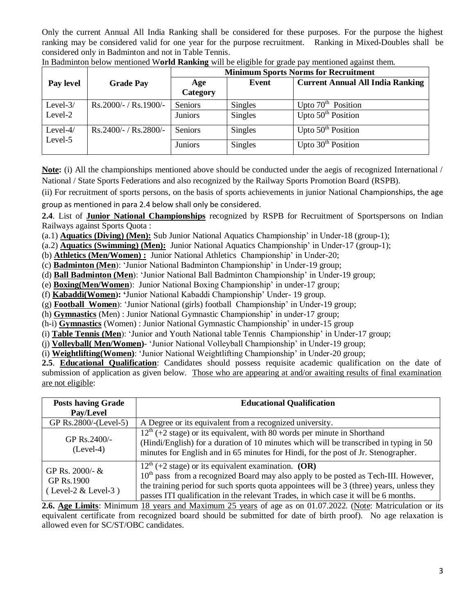Only the current Annual All India Ranking shall be considered for these purposes. For the purpose the highest ranking may be considered valid for one year for the purpose recruitment. Ranking in Mixed-Doubles shall be considered only in Badminton and not in Table Tennis.

|                        |                         | <b>Minimum Sports Norms for Recruitment</b> |                |                                         |  |
|------------------------|-------------------------|---------------------------------------------|----------------|-----------------------------------------|--|
| Pay level              | <b>Grade Pay</b>        | Age<br>Category                             | Event          | <b>Current Annual All India Ranking</b> |  |
| Level- $3/$            | $Rs.2000/- / Rs.1900/-$ | Seniors                                     | Singles        | Upto $70th$ Position                    |  |
| Level-2                |                         | Juniors                                     | Singles        | Upto $50th$ Position                    |  |
| Level- $4/$<br>Level-5 | $Rs.2400/- / Rs.2800/-$ | Seniors                                     | <b>Singles</b> | Upto $50th$ Position                    |  |
|                        |                         | <b>Juniors</b>                              | Singles        | Upto $30th$ Position                    |  |

In Badminton below mentioned W**orld Ranking** will be eligible for grade pay mentioned against them.

**Note:** (i) All the championships mentioned above should be conducted under the aegis of recognized International / National / State Sports Federations and also recognized by the Railway Sports Promotion Board (RSPB).

(ii) For recruitment of sports persons, on the basis of sports achievements in junior National Championships, the age group as mentioned in para 2.4 below shall only be considered.

**2.4**. List of **Junior National Championships** recognized by RSPB for Recruitment of Sportspersons on Indian Railways against Sports Quota :

(a.1) **Aquatics (Diving) (Men):** Sub Junior National Aquatics Championship' in Under-18 (group-1);

(a.2) **Aquatics (Swimming) (Men):** Junior National Aquatics Championship' in Under-17 (group-1);

- (b) **Athletics (Men/Women) :** Junior National Athletics Championship' in Under-20;
- (c) **Badminton (Men**): 'Junior National Badminton Championship' in Under-19 group;
- (d) **Ball Badminton (Men**): 'Junior National Ball Badminton Championship' in Under-19 group;
- (e) **Boxing(Men/Women**): Junior National Boxing Championship' in under-17 group;
- (f) **Kabaddi(Women): '**Junior National Kabaddi Championship' Under- 19 group.
- (g) **Football Women**): 'Junior National (girls) football Championship' in Under-19 group;
- (h) **Gymnastics** (Men) : Junior National Gymnastic Championship' in under-17 group;

(h-i) **Gymnastics** (Women) : Junior National Gymnastic Championship' in under-15 group

- (i) **Table Tennis (Men**): 'Junior and Youth National table Tennis Championship' in Under-17 group;
- (j) **Volleyball( Men/Women)** 'Junior National Volleyball Championship' in Under-19 group;

(i) **Weightlifting(Women)**: 'Junior National Weightlifting Championship' in Under-20 group;

**2.5**. **Educational Qualification**: Candidates should possess requisite academic qualification on the date of submission of application as given below. Those who are appearing at and/or awaiting results of final examination are not eligible:

| <b>Posts having Grade</b><br>Pay/Level                 | <b>Educational Qualification</b>                                                                                                                                                                                                                                                                                                                |
|--------------------------------------------------------|-------------------------------------------------------------------------------------------------------------------------------------------------------------------------------------------------------------------------------------------------------------------------------------------------------------------------------------------------|
| GP Rs.2800/-(Level-5)                                  | A Degree or its equivalent from a recognized university.                                                                                                                                                                                                                                                                                        |
| GP Rs. $2400/-$<br>$(Level-4)$                         | $12th$ (+2 stage) or its equivalent, with 80 words per minute in Shorthand<br>(Hindi/English) for a duration of 10 minutes which will be transcribed in typing in 50<br>minutes for English and in 65 minutes for Hindi, for the post of Jr. Stenographer.                                                                                      |
| GP Rs. 2000/- &<br>GP Rs.1900<br>$(Level-2 & Level-3)$ | $12^{th}$ (+2 stage) or its equivalent examination. (OR)<br>10 <sup>th</sup> pass from a recognized Board may also apply to be posted as Tech-III. However,<br>the training period for such sports quota appointees will be 3 (three) years, unless they<br>passes ITI qualification in the relevant Trades, in which case it will be 6 months. |

**2.6. Age Limits**: Minimum 18 years and Maximum 25 years of age as on 01.07.2022. (Note: Matriculation or its equivalent certificate from recognized board should be submitted for date of birth proof). No age relaxation is allowed even for SC/ST/OBC candidates.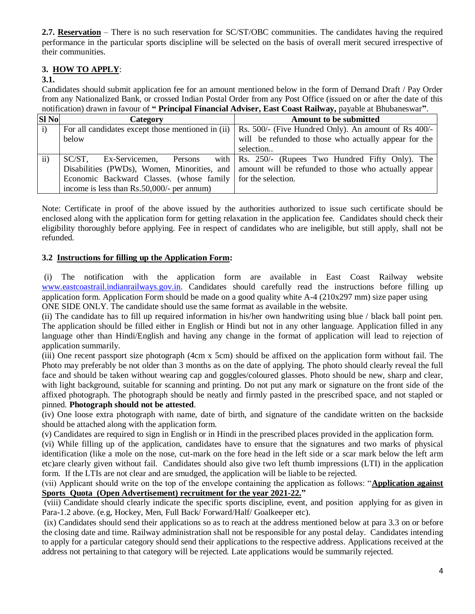**2.7. Reservation** – There is no such reservation for SC/ST/OBC communities. The candidates having the required performance in the particular sports discipline will be selected on the basis of overall merit secured irrespective of their communities.

# **3. HOW TO APPLY**:

### **3.1.**

Candidates should submit application fee for an amount mentioned below in the form of Demand Draft / Pay Order from any Nationalized Bank, or crossed Indian Postal Order from any Post Office (issued on or after the date of this notification) drawn in favour of **" Principal Financial Adviser, East Coast Railway,** payable at Bhubaneswar**"**.

| <b>SI No</b> | Category                                                      | <b>Amount to be submitted</b>                                                                      |
|--------------|---------------------------------------------------------------|----------------------------------------------------------------------------------------------------|
| i)           | For all candidates except those mentioned in (ii)             | Rs. 500/- (Five Hundred Only). An amount of Rs 400/-                                               |
|              | below                                                         | will be refunded to those who actually appear for the                                              |
|              |                                                               | selection                                                                                          |
| $\rm ii$     | Ex-Servicemen,<br>SC/ST.<br>Persons                           | with $\vert$ Rs. 250/- (Rupees Two Hundred Fifty Only). The                                        |
|              |                                                               | Disabilities (PWDs), Women, Minorities, and   amount will be refunded to those who actually appear |
|              | Economic Backward Classes. (whose family   for the selection. |                                                                                                    |
|              | income is less than $Rs.50,000/$ - per annum)                 |                                                                                                    |

Note: Certificate in proof of the above issued by the authorities authorized to issue such certificate should be enclosed along with the application form for getting relaxation in the application fee. Candidates should check their eligibility thoroughly before applying. Fee in respect of candidates who are ineligible, but still apply, shall not be refunded.

## **3.2 Instructions for filling up the Application Form:**

(i) The notification with the application form are available in East Coast Railway website [www.eastcoastrail.indianrailways.gov.in.](http://www.eastcoastrail.indianrailways.gov.in/) Candidates should carefully read the instructions before filling up application form. Application Form should be made on a good quality white A-4 (210x297 mm) size paper using ONE SIDE ONLY. The candidate should use the same format as available in the website.

(ii) The candidate has to fill up required information in his/her own handwriting using blue / black ball point pen. The application should be filled either in English or Hindi but not in any other language. Application filled in any language other than Hindi/English and having any change in the format of application will lead to rejection of application summarily.

(iii) One recent passport size photograph (4cm x 5cm) should be affixed on the application form without fail. The Photo may preferably be not older than 3 months as on the date of applying. The photo should clearly reveal the full face and should be taken without wearing cap and goggles/coloured glasses. Photo should be new, sharp and clear, with light background, suitable for scanning and printing. Do not put any mark or signature on the front side of the affixed photograph. The photograph should be neatly and firmly pasted in the prescribed space, and not stapled or pinned. **Photograph should not be attested**.

(iv) One loose extra photograph with name, date of birth, and signature of the candidate written on the backside should be attached along with the application form.

(v) Candidates are required to sign in English or in Hindi in the prescribed places provided in the application form.

(vi) While filling up of the application, candidates have to ensure that the signatures and two marks of physical identification (like a mole on the nose, cut-mark on the fore head in the left side or a scar mark below the left arm etc)are clearly given without fail. Candidates should also give two left thumb impressions (LTI) in the application form. If the LTIs are not clear and are smudged, the application will be liable to be rejected.

(vii) Applicant should write on the top of the envelope containing the application as follows: "**Application against Sports Quota (Open Advertisement) recruitment for the year 2021-22."** 

(viii) Candidate should clearly indicate the specific sports discipline, event, and position applying for as given in Para-1.2 above. (e.g, Hockey, Men, Full Back/ Forward/Half/ Goalkeeper etc).

(ix) Candidates should send their applications so as to reach at the address mentioned below at para 3.3 on or before the closing date and time. Railway administration shall not be responsible for any postal delay. Candidates intending to apply for a particular category should send their applications to the respective address. Applications received at the address not pertaining to that category will be rejected. Late applications would be summarily rejected.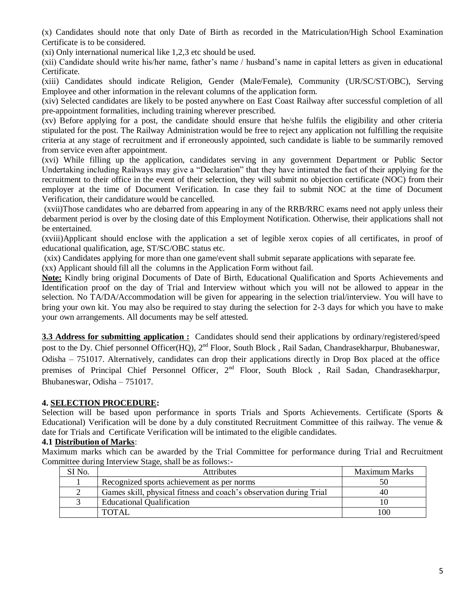(x) Candidates should note that only Date of Birth as recorded in the Matriculation/High School Examination Certificate is to be considered.

(xi) Only international numerical like 1,2,3 etc should be used.

(xii) Candidate should write his/her name, father's name / husband's name in capital letters as given in educational Certificate.

(xiii) Candidates should indicate Religion, Gender (Male/Female), Community (UR/SC/ST/OBC), Serving Employee and other information in the relevant columns of the application form.

(xiv) Selected candidates are likely to be posted anywhere on East Coast Railway after successful completion of all pre-appointment formalities, including training wherever prescribed.

(xv) Before applying for a post, the candidate should ensure that he/she fulfils the eligibility and other criteria stipulated for the post. The Railway Administration would be free to reject any application not fulfilling the requisite criteria at any stage of recruitment and if erroneously appointed, such candidate is liable to be summarily removed from service even after appointment.

(xvi) While filling up the application, candidates serving in any government Department or Public Sector Undertaking including Railways may give a "Declaration" that they have intimated the fact of their applying for the recruitment to their office in the event of their selection, they will submit no objection certificate (NOC) from their employer at the time of Document Verification. In case they fail to submit NOC at the time of Document Verification, their candidature would be cancelled.

(xvii)Those candidates who are debarred from appearing in any of the RRB/RRC exams need not apply unless their debarment period is over by the closing date of this Employment Notification. Otherwise, their applications shall not be entertained.

(xviii)Applicant should enclose with the application a set of legible xerox copies of all certificates, in proof of educational qualification, age, ST/SC/OBC status etc.

(xix) Candidates applying for more than one game/event shall submit separate applications with separate fee.

(xx) Applicant should fill all the columns in the Application Form without fail.

**Note:** Kindly bring original Documents of Date of Birth, Educational Qualification and Sports Achievements and Identification proof on the day of Trial and Interview without which you will not be allowed to appear in the selection. No TA/DA/Accommodation will be given for appearing in the selection trial/interview. You will have to bring your own kit. You may also be required to stay during the selection for 2-3 days for which you have to make your own arrangements. All documents may be self attested.

**3.3 Address for submitting application :** Candidates should send their applications by ordinary/registered/speed post to the Dy. Chief personnel Officer(HQ), 2<sup>nd</sup> Floor, South Block, Rail Sadan, Chandrasekharpur, Bhubaneswar, Odisha – 751017. Alternatively, candidates can drop their applications directly in Drop Box placed at the office premises of Principal Chief Personnel Officer, 2<sup>nd</sup> Floor, South Block, Rail Sadan, Chandrasekharpur, Bhubaneswar, Odisha – 751017.

## **4. SELECTION PROCEDURE:**

Selection will be based upon performance in sports Trials and Sports Achievements. Certificate (Sports & Educational) Verification will be done by a duly constituted Recruitment Committee of this railway. The venue & date for Trials and Certificate Verification will be intimated to the eligible candidates.

#### **4.1 Distribution of Marks**:

Maximum marks which can be awarded by the Trial Committee for performance during Trial and Recruitment Committee during Interview Stage, shall be as follows:-

| SI No. | <b>Attributes</b>                                                  | <b>Maximum Marks</b> |
|--------|--------------------------------------------------------------------|----------------------|
|        | Recognized sports achievement as per norms                         | 50                   |
|        | Games skill, physical fitness and coach's observation during Trial | 40                   |
|        | <b>Educational Qualification</b>                                   |                      |
|        | <b>TOTAL</b>                                                       | 100                  |